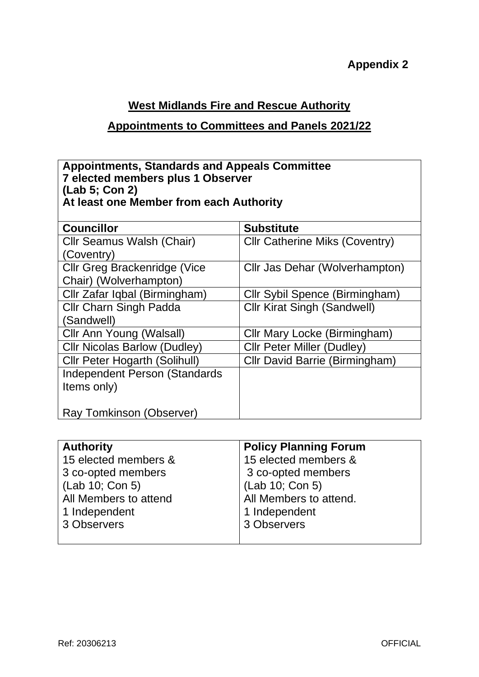# **West Midlands Fire and Rescue Authority**

## **Appointments to Committees and Panels 2021/22**

#### **Appointments, Standards and Appeals Committee 7 elected members plus 1 Observer (Lab 5; Con 2) At least one Member from each Authority**

| <b>Councillor</b>                    | <b>Substitute</b>                     |
|--------------------------------------|---------------------------------------|
| Cllr Seamus Walsh (Chair)            | <b>Cllr Catherine Miks (Coventry)</b> |
| (Coventry)                           |                                       |
| <b>Cllr Greg Brackenridge (Vice</b>  | Cllr Jas Dehar (Wolverhampton)        |
| Chair) (Wolverhampton)               |                                       |
| Cllr Zafar Iqbal (Birmingham)        | Cllr Sybil Spence (Birmingham)        |
| Cllr Charn Singh Padda               | <b>Cllr Kirat Singh (Sandwell)</b>    |
| (Sandwell)                           |                                       |
| Cllr Ann Young (Walsall)             | Cllr Mary Locke (Birmingham)          |
| <b>Cllr Nicolas Barlow (Dudley)</b>  | <b>CIIr Peter Miller (Dudley)</b>     |
| <b>Cllr Peter Hogarth (Solihull)</b> | Cllr David Barrie (Birmingham)        |
| <b>Independent Person (Standards</b> |                                       |
| Items only)                          |                                       |
|                                      |                                       |
| Ray Tomkinson (Observer)             |                                       |

| <b>Authority</b>      | <b>Policy Planning Forum</b> |
|-----------------------|------------------------------|
| 15 elected members &  | 15 elected members &         |
| 3 co-opted members    | 3 co-opted members           |
| (Lab 10; Con 5)       | (Lab 10; Con 5)              |
| All Members to attend | All Members to attend.       |
| 1 Independent         | 1 Independent                |
| 3 Observers           | 3 Observers                  |
|                       |                              |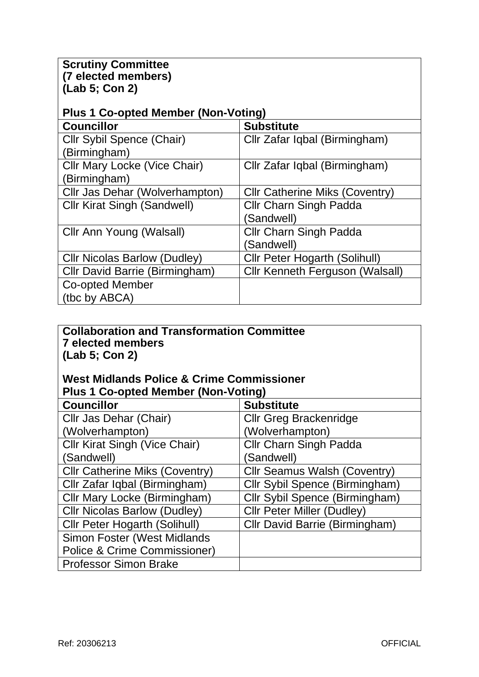### **Scrutiny Committee (7 elected members) (Lab 5; Con 2)**

| <b>Plus 1 Co-opted Member (Non-Voting)</b> |                                       |  |
|--------------------------------------------|---------------------------------------|--|
| <b>Councillor</b>                          | <b>Substitute</b>                     |  |
| Cllr Sybil Spence (Chair)                  | Cllr Zafar Iqbal (Birmingham)         |  |
| (Birmingham)                               |                                       |  |
| Cllr Mary Locke (Vice Chair)               | Cllr Zafar Iqbal (Birmingham)         |  |
| (Birmingham)                               |                                       |  |
| Cllr Jas Dehar (Wolverhampton)             | <b>CIIr Catherine Miks (Coventry)</b> |  |
| <b>Cllr Kirat Singh (Sandwell)</b>         | <b>Cllr Charn Singh Padda</b>         |  |
|                                            | (Sandwell)                            |  |
| Cllr Ann Young (Walsall)                   | <b>Cllr Charn Singh Padda</b>         |  |
|                                            | (Sandwell)                            |  |
| <b>CIIr Nicolas Barlow (Dudley)</b>        | <b>Cllr Peter Hogarth (Solihull)</b>  |  |
| Cllr David Barrie (Birmingham)             | Cllr Kenneth Ferguson (Walsall)       |  |
| Co-opted Member                            |                                       |  |
| (tbc by ABCA)                              |                                       |  |

#### **Collaboration and Transformation Committee 7 elected members (Lab 5; Con 2)**

### **West Midlands Police & Crime Commissioner Plus 1 Co-opted Member (Non-Voting)**

| <b>Councillor</b>                     | <b>Substitute</b>                   |
|---------------------------------------|-------------------------------------|
| Cllr Jas Dehar (Chair)                | <b>Cllr Greg Brackenridge</b>       |
| (Wolverhampton)                       | (Wolverhampton)                     |
| <b>Cllr Kirat Singh (Vice Chair)</b>  | <b>Cllr Charn Singh Padda</b>       |
| (Sandwell)                            | (Sandwell)                          |
| <b>Cllr Catherine Miks (Coventry)</b> | <b>Cllr Seamus Walsh (Coventry)</b> |
| Cllr Zafar Iqbal (Birmingham)         | Cllr Sybil Spence (Birmingham)      |
| Cllr Mary Locke (Birmingham)          | Cllr Sybil Spence (Birmingham)      |
| <b>CIIr Nicolas Barlow (Dudley)</b>   | <b>Cllr Peter Miller (Dudley)</b>   |
| <b>Cllr Peter Hogarth (Solihull)</b>  | Cllr David Barrie (Birmingham)      |
| <b>Simon Foster (West Midlands</b>    |                                     |
| Police & Crime Commissioner)          |                                     |
| <b>Professor Simon Brake</b>          |                                     |